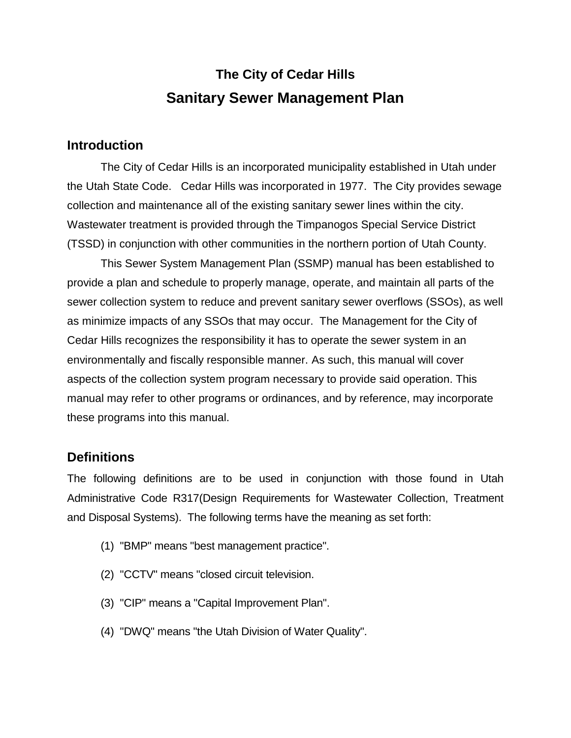# **The City of Cedar Hills Sanitary Sewer Management Plan**

#### **Introduction**

The City of Cedar Hills is an incorporated municipality established in Utah under the Utah State Code. Cedar Hills was incorporated in 1977. The City provides sewage collection and maintenance all of the existing sanitary sewer lines within the city. Wastewater treatment is provided through the Timpanogos Special Service District (TSSD) in conjunction with other communities in the northern portion of Utah County.

This Sewer System Management Plan (SSMP) manual has been established to provide a plan and schedule to properly manage, operate, and maintain all parts of the sewer collection system to reduce and prevent sanitary sewer overflows (SSOs), as well as minimize impacts of any SSOs that may occur. The Management for the City of Cedar Hills recognizes the responsibility it has to operate the sewer system in an environmentally and fiscally responsible manner. As such, this manual will cover aspects of the collection system program necessary to provide said operation. This manual may refer to other programs or ordinances, and by reference, may incorporate these programs into this manual.

#### **Definitions**

The following definitions are to be used in conjunction with those found in Utah Administrative Code R317(Design Requirements for Wastewater Collection, Treatment and Disposal Systems). The following terms have the meaning as set forth:

- (1) "BMP" means "best management practice".
- (2) "CCTV" means "closed circuit television.
- (3) "CIP" means a "Capital Improvement Plan".
- (4) "DWQ" means "the Utah Division of Water Quality".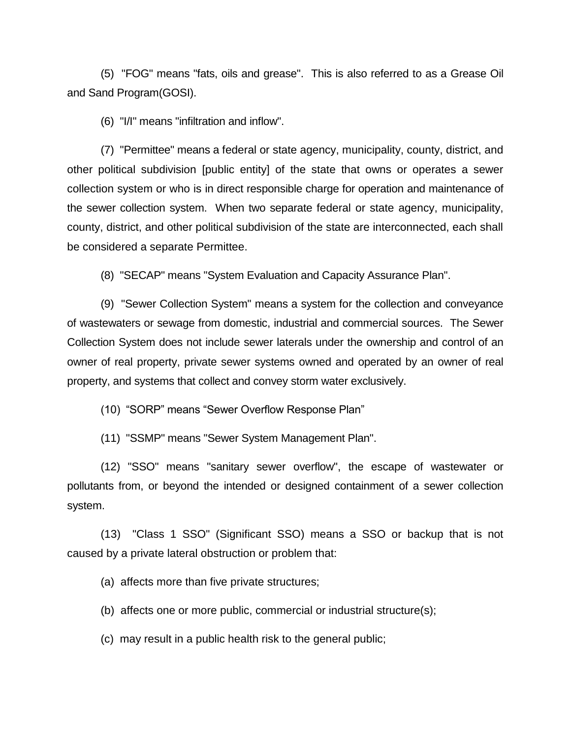(5) "FOG" means "fats, oils and grease". This is also referred to as a Grease Oil and Sand Program(GOSI).

(6) "I/I" means "infiltration and inflow".

(7) "Permittee" means a federal or state agency, municipality, county, district, and other political subdivision [public entity] of the state that owns or operates a sewer collection system or who is in direct responsible charge for operation and maintenance of the sewer collection system. When two separate federal or state agency, municipality, county, district, and other political subdivision of the state are interconnected, each shall be considered a separate Permittee.

(8) "SECAP" means "System Evaluation and Capacity Assurance Plan".

(9) "Sewer Collection System" means a system for the collection and conveyance of wastewaters or sewage from domestic, industrial and commercial sources. The Sewer Collection System does not include sewer laterals under the ownership and control of an owner of real property, private sewer systems owned and operated by an owner of real property, and systems that collect and convey storm water exclusively.

(10) "SORP" means "Sewer Overflow Response Plan"

(11) "SSMP" means "Sewer System Management Plan".

(12) "SSO" means "sanitary sewer overflow", the escape of wastewater or pollutants from, or beyond the intended or designed containment of a sewer collection system.

(13) "Class 1 SSO" (Significant SSO) means a SSO or backup that is not caused by a private lateral obstruction or problem that:

(a) affects more than five private structures;

(b) affects one or more public, commercial or industrial structure(s);

(c) may result in a public health risk to the general public;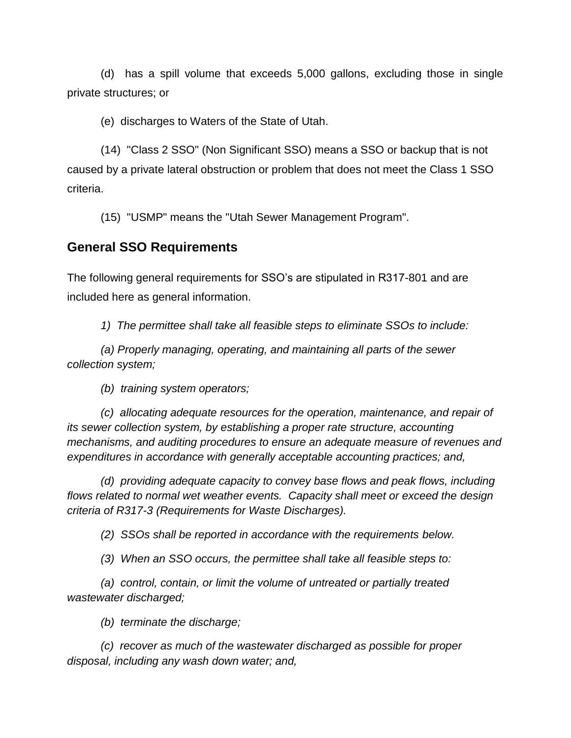(d) has a spill volume that exceeds 5,000 gallons, excluding those in single private structures; or

(e) discharges to Waters of the State of Utah.

(14) "Class 2 SSO" (Non Significant SSO) means a SSO or backup that is not caused by a private lateral obstruction or problem that does not meet the Class 1 SSO criteria.

(15) "USMP" means the "Utah Sewer Management Program".

#### **General SSO Requirements**

The following general requirements for SSO's are stipulated in R317-801 and are included here as general information.

*1) The permittee shall take all feasible steps to eliminate SSOs to include:*

*(a) Properly managing, operating, and maintaining all parts of the sewer collection system;*

*(b) training system operators;*

*(c) allocating adequate resources for the operation, maintenance, and repair of its sewer collection system, by establishing a proper rate structure, accounting mechanisms, and auditing procedures to ensure an adequate measure of revenues and expenditures in accordance with generally acceptable accounting practices; and,*

*(d) providing adequate capacity to convey base flows and peak flows, including flows related to normal wet weather events. Capacity shall meet or exceed the design criteria of R317-3 (Requirements for Waste Discharges).*

*(2) SSOs shall be reported in accordance with the requirements below.*

*(3) When an SSO occurs, the permittee shall take all feasible steps to:*

*(a) control, contain, or limit the volume of untreated or partially treated wastewater discharged;*

*(b) terminate the discharge;*

*(c) recover as much of the wastewater discharged as possible for proper disposal, including any wash down water; and,*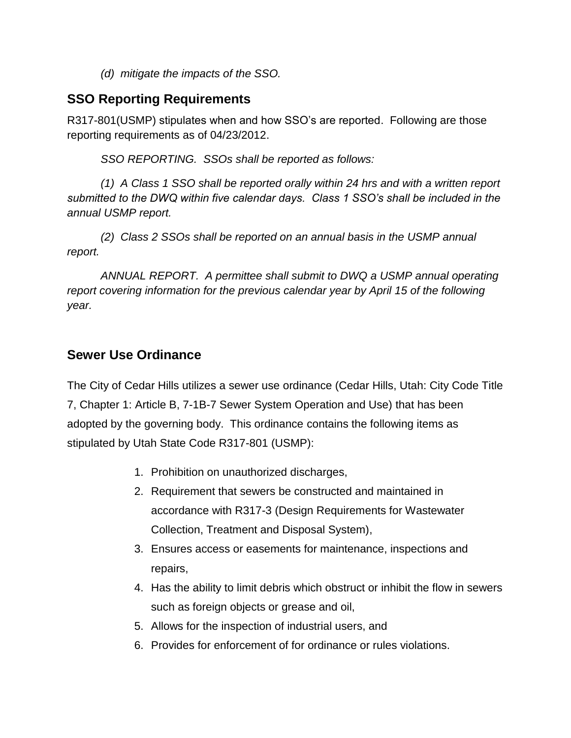*(d) mitigate the impacts of the SSO.*

## **SSO Reporting Requirements**

R317-801(USMP) stipulates when and how SSO's are reported. Following are those reporting requirements as of 04/23/2012.

*SSO REPORTING. SSOs shall be reported as follows:*

*(1) A Class 1 SSO shall be reported orally within 24 hrs and with a written report submitted to the DWQ within five calendar days. Class 1 SSO's shall be included in the annual USMP report.*

*(2) Class 2 SSOs shall be reported on an annual basis in the USMP annual report.*

*ANNUAL REPORT. A permittee shall submit to DWQ a USMP annual operating report covering information for the previous calendar year by April 15 of the following year.* 

### **Sewer Use Ordinance**

The City of Cedar Hills utilizes a sewer use ordinance (Cedar Hills, Utah: City Code Title 7, Chapter 1: Article B, 7-1B-7 Sewer System Operation and Use) that has been adopted by the governing body. This ordinance contains the following items as stipulated by Utah State Code R317-801 (USMP):

- 1. Prohibition on unauthorized discharges,
- 2. Requirement that sewers be constructed and maintained in accordance with R317-3 (Design Requirements for Wastewater Collection, Treatment and Disposal System),
- 3. Ensures access or easements for maintenance, inspections and repairs,
- 4. Has the ability to limit debris which obstruct or inhibit the flow in sewers such as foreign objects or grease and oil,
- 5. Allows for the inspection of industrial users, and
- 6. Provides for enforcement of for ordinance or rules violations.